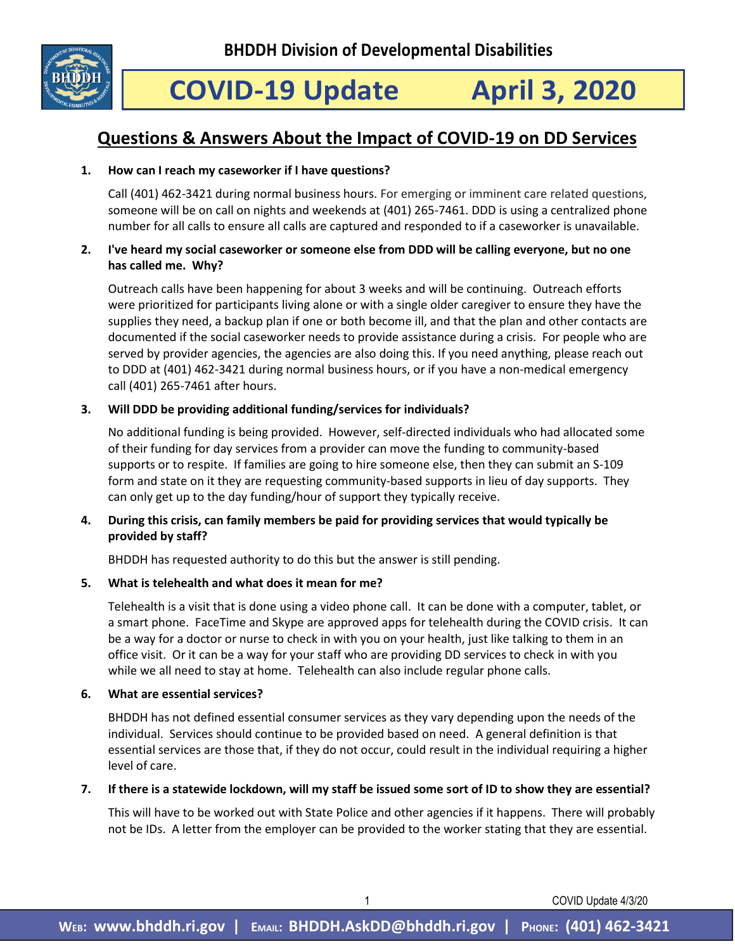

# **COVID-19 Update April 3, 2020**

# **Questions & Answers About the Impact of COVID-19 on DD Services**

# **1. How can I reach my caseworker if I have questions?**

Call (401) 462-3421 during normal business hours. For emerging or imminent care related questions, someone will be on call on nights and weekends at (401) 265-7461. DDD is using a centralized phone number for all calls to ensure all calls are captured and responded to if a caseworker is unavailable.

## **2. I've heard my social caseworker or someone else from DDD will be calling everyone, but no one has called me. Why?**

Outreach calls have been happening for about 3 weeks and will be continuing. Outreach efforts were prioritized for participants living alone or with a single older caregiver to ensure they have the supplies they need, a backup plan if one or both become ill, and that the plan and other contacts are documented if the social caseworker needs to provide assistance during a crisis. For people who are served by provider agencies, the agencies are also doing this. If you need anything, please reach out to DDD at (401) 462-3421 during normal business hours, or if you have a non-medical emergency call (401) 265-7461 after hours.

## **3. Will DDD be providing additional funding/services for individuals?**

No additional funding is being provided. However, self-directed individuals who had allocated some of their funding for day services from a provider can move the funding to community-based supports or to respite. If families are going to hire someone else, then they can submit an S-109 form and state on it they are requesting community-based supports in lieu of day supports. They can only get up to the day funding/hour of support they typically receive.

# **4. During this crisis, can family members be paid for providing services that would typically be provided by staff?**

BHDDH has requested authority to do this but the answer is still pending.

# **5. What is telehealth and what does it mean for me?**

Telehealth is a visit that is done using a video phone call. It can be done with a computer, tablet, or a smart phone. FaceTime and Skype are approved apps for telehealth during the COVID crisis. It can be a way for a doctor or nurse to check in with you on your health, just like talking to them in an office visit. Or it can be a way for your staff who are providing DD services to check in with you while we all need to stay at home. Telehealth can also include regular phone calls.

#### **6. What are essential services?**

BHDDH has not defined essential consumer services as they vary depending upon the needs of the individual. Services should continue to be provided based on need. A general definition is that essential services are those that, if they do not occur, could result in the individual requiring a higher level of care.

# **7. If there is a statewide lockdown, will my staff be issued some sort of ID to show they are essential?**

This will have to be worked out with State Police and other agencies if it happens. There will probably not be IDs. A letter from the employer can be provided to the worker stating that they are essential.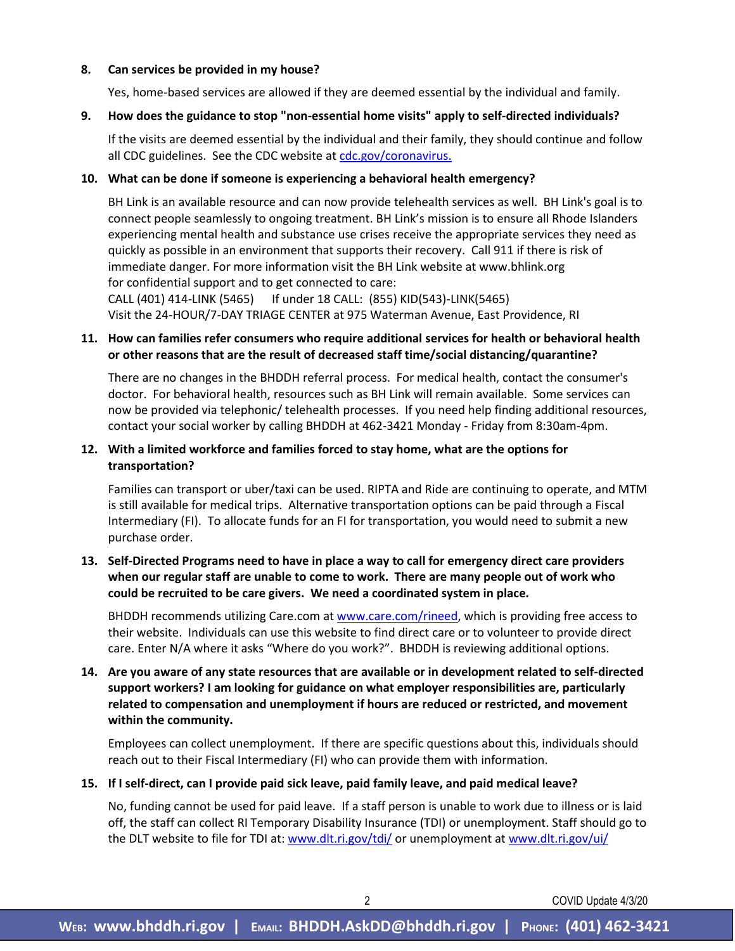#### **8. Can services be provided in my house?**

Yes, home-based services are allowed if they are deemed essential by the individual and family.

#### **9. How does the guidance to stop "non-essential home visits" apply to self-directed individuals?**

If the visits are deemed essential by the individual and their family, they should continue and follow all CDC guidelines. See the CDC website at [cdc.gov/coronavirus.](http://www.cdc.gov/coronavirus)

#### **10. What can be done if someone is experiencing a behavioral health emergency?**

BH Link is an available resource and can now provide telehealth services as well. BH Link's goal is to connect people seamlessly to ongoing treatment. BH Link's mission is to ensure all Rhode Islanders experiencing mental health and substance use crises receive the appropriate services they need as quickly as possible in an environment that supports their recovery. Call 911 if there is risk of immediate danger. For more information visit the BH Link website at www.bhlink.org for confidential support and to get connected to care:

CALL (401) 414-LINK (5465) If under 18 CALL: (855) KID(543)-LINK(5465) Visit the 24-HOUR/7-DAY TRIAGE CENTER at 975 Waterman Avenue, East Providence, RI

### **11. How can families refer consumers who require additional services for health or behavioral health or other reasons that are the result of decreased staff time/social distancing/quarantine?**

There are no changes in the BHDDH referral process. For medical health, contact the consumer's doctor. For behavioral health, resources such as BH Link will remain available. Some services can now be provided via telephonic/ telehealth processes. If you need help finding additional resources, contact your social worker by calling BHDDH at 462-3421 Monday - Friday from 8:30am-4pm.

### **12. With a limited workforce and families forced to stay home, what are the options for transportation?**

Families can transport or uber/taxi can be used. RIPTA and Ride are continuing to operate, and MTM is still available for medical trips. Alternative transportation options can be paid through a Fiscal Intermediary (FI). To allocate funds for an FI for transportation, you would need to submit a new purchase order.

# **13. Self-Directed Programs need to have in place a way to call for emergency direct care providers when our regular staff are unable to come to work. There are many people out of work who could be recruited to be care givers. We need a coordinated system in place.**

BHDDH recommends utilizing Care.com a[t www.care.com/rineed,](http://www.care.com/rineed) which is providing free access to their website. Individuals can use this website to find direct care or to volunteer to provide direct care. Enter N/A where it asks "Where do you work?". BHDDH is reviewing additional options.

**14. Are you aware of any state resources that are available or in development related to self-directed support workers? I am looking for guidance on what employer responsibilities are, particularly related to compensation and unemployment if hours are reduced or restricted, and movement within the community.**

Employees can collect unemployment. If there are specific questions about this, individuals should reach out to their Fiscal Intermediary (FI) who can provide them with information.

#### **15. If I self-direct, can I provide paid sick leave, paid family leave, and paid medical leave?**

No, funding cannot be used for paid leave. If a staff person is unable to work due to illness or is laid off, the staff can collect RI Temporary Disability Insurance (TDI) or unemployment. Staff should go to the DLT website to file for TDI at: [www.dlt.ri.gov/tdi/](http://www.dlt.ri.gov/tdi/) or unemployment a[t www.dlt.ri.gov/ui/](http://www.dlt.ri.gov/ui/)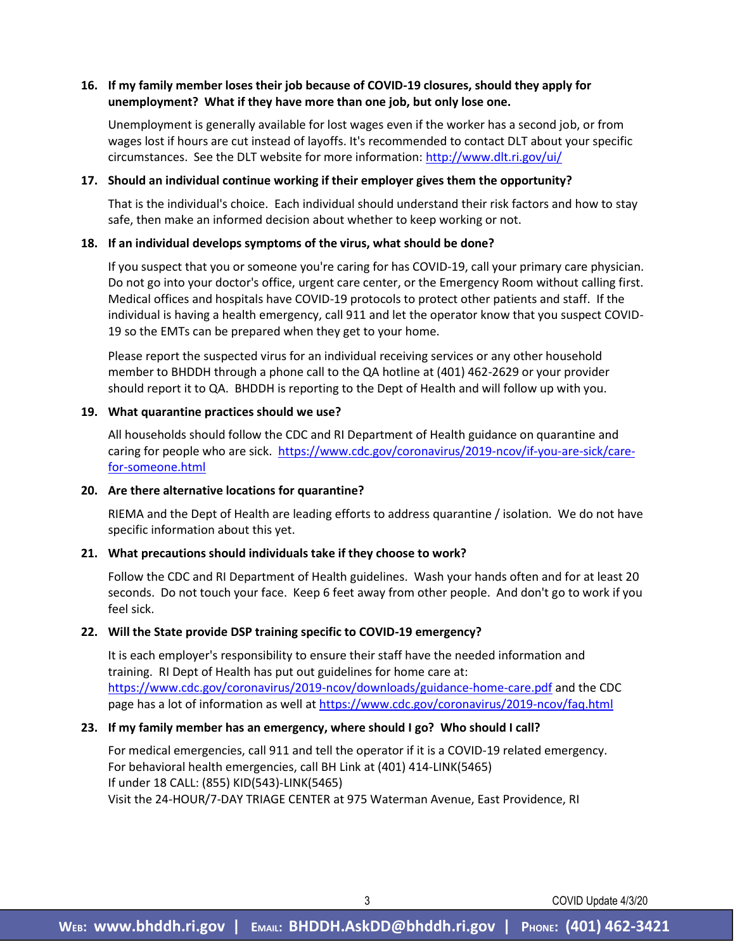### **16. If my family member loses their job because of COVID-19 closures, should they apply for unemployment? What if they have more than one job, but only lose one.**

Unemployment is generally available for lost wages even if the worker has a second job, or from wages lost if hours are cut instead of layoffs. It's recommended to contact DLT about your specific circumstances. See the DLT website for more information[: http://www.dlt.ri.gov/ui/](http://www.dlt.ri.gov/ui/)

#### **17. Should an individual continue working if their employer gives them the opportunity?**

That is the individual's choice. Each individual should understand their risk factors and how to stay safe, then make an informed decision about whether to keep working or not.

#### **18. If an individual develops symptoms of the virus, what should be done?**

If you suspect that you or someone you're caring for has COVID-19, call your primary care physician. Do not go into your doctor's office, urgent care center, or the Emergency Room without calling first. Medical offices and hospitals have COVID-19 protocols to protect other patients and staff. If the individual is having a health emergency, call 911 and let the operator know that you suspect COVID-19 so the EMTs can be prepared when they get to your home.

Please report the suspected virus for an individual receiving services or any other household member to BHDDH through a phone call to the QA hotline at (401) 462-2629 or your provider should report it to QA. BHDDH is reporting to the Dept of Health and will follow up with you.

#### **19. What quarantine practices should we use?**

All households should follow the CDC and RI Department of Health guidance on quarantine and caring for people who are sick. [https://www.cdc.gov/coronavirus/2019-ncov/if-you-are-sick/care](https://www.cdc.gov/coronavirus/2019-ncov/if-you-are-sick/care-for-someone.html)[for-someone.html](https://www.cdc.gov/coronavirus/2019-ncov/if-you-are-sick/care-for-someone.html)

#### **20. Are there alternative locations for quarantine?**

RIEMA and the Dept of Health are leading efforts to address quarantine / isolation. We do not have specific information about this yet.

#### **21. What precautions should individuals take if they choose to work?**

Follow the CDC and RI Department of Health guidelines. Wash your hands often and for at least 20 seconds. Do not touch your face. Keep 6 feet away from other people. And don't go to work if you feel sick.

#### **22. Will the State provide DSP training specific to COVID-19 emergency?**

It is each employer's responsibility to ensure their staff have the needed information and training. RI Dept of Health has put out guidelines for home care at: <https://www.cdc.gov/coronavirus/2019-ncov/downloads/guidance-home-care.pdf> and the CDC page has a lot of information as well at <https://www.cdc.gov/coronavirus/2019-ncov/faq.html>

#### **23. If my family member has an emergency, where should I go? Who should I call?**

For medical emergencies, call 911 and tell the operator if it is a COVID-19 related emergency. For behavioral health emergencies, call BH Link at (401) 414-LINK(5465) If under 18 CALL: (855) KID(543)-LINK(5465) Visit the 24-HOUR/7-DAY TRIAGE CENTER at 975 Waterman Avenue, East Providence, RI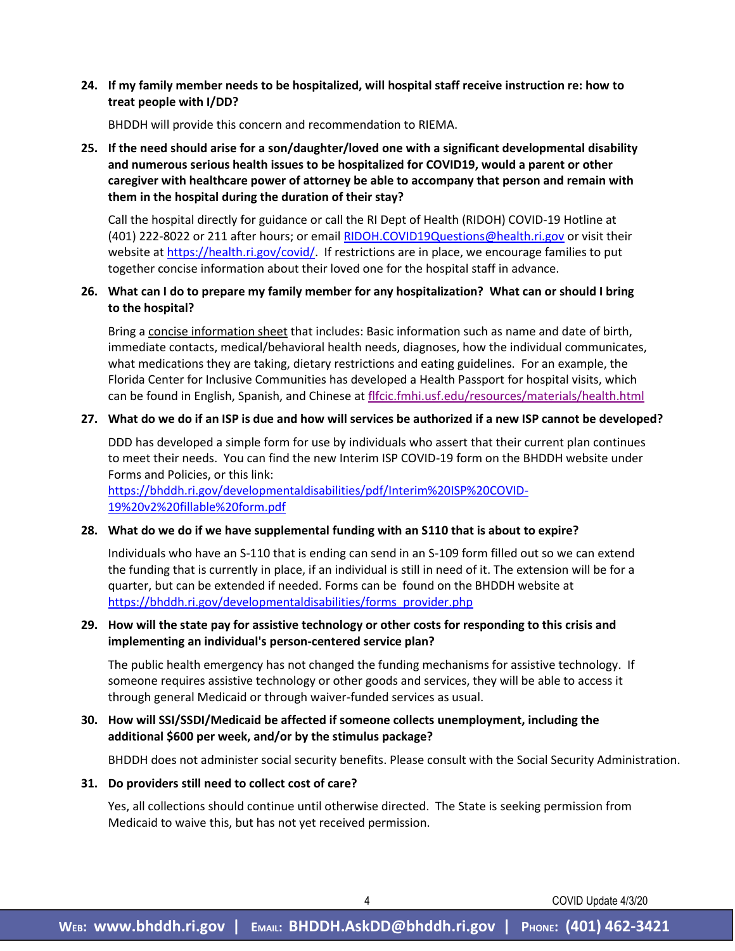#### **24. If my family member needs to be hospitalized, will hospital staff receive instruction re: how to treat people with I/DD?**

BHDDH will provide this concern and recommendation to RIEMA.

# **25. If the need should arise for a son/daughter/loved one with a significant developmental disability and numerous serious health issues to be hospitalized for COVID19, would a parent or other caregiver with healthcare power of attorney be able to accompany that person and remain with them in the hospital during the duration of their stay?**

Call the hospital directly for guidance or call the RI Dept of Health (RIDOH) COVID-19 Hotline at (401) 222-8022 or 211 after hours; or email [RIDOH.COVID19Questions@health.ri.gov](mailto:RIDOH.COVID19Questions@health.ri.gov) or visit their website at [https://health.ri.gov/covid/.](https://health.ri.gov/covid/) If restrictions are in place, we encourage families to put together concise information about their loved one for the hospital staff in advance.

#### **26. What can I do to prepare my family member for any hospitalization? What can or should I bring to the hospital?**

Bring a concise information sheet that includes: Basic information such as name and date of birth, immediate contacts, medical/behavioral health needs, diagnoses, how the individual communicates, what medications they are taking, dietary restrictions and eating guidelines. For an example, the Florida Center for Inclusive Communities has developed a Health Passport for hospital visits, which can be found in English, Spanish, and Chinese a[t flfcic.fmhi.usf.edu/resources/materials/health.html](http://flfcic.fmhi.usf.edu/resources/materials/health.html) 

#### **27. What do we do if an ISP is due and how will services be authorized if a new ISP cannot be developed?**

DDD has developed a simple form for use by individuals who assert that their current plan continues to meet their needs. You can find the new Interim ISP COVID-19 form on the BHDDH website under Forms and Policies, or this link:

[https://bhddh.ri.gov/developmentaldisabilities/pdf/Interim%20ISP%20COVID-](https://bhddh.ri.gov/developmentaldisabilities/pdf/Interim%20ISP%20COVID-19%20v2%20fillable%20form.pdf)[19%20v2%20fillable%20form.pdf](https://bhddh.ri.gov/developmentaldisabilities/pdf/Interim%20ISP%20COVID-19%20v2%20fillable%20form.pdf)

#### **28. What do we do if we have supplemental funding with an S110 that is about to expire?**

Individuals who have an S-110 that is ending can send in an S-109 form filled out so we can extend the funding that is currently in place, if an individual is still in need of it. The extension will be for a quarter, but can be extended if needed. Forms can be found on the BHDDH website at [https://bhddh.ri.gov/developmentaldisabilities/forms\\_provider.php](https://bhddh.ri.gov/developmentaldisabilities/forms_provider.php)

#### **29. How will the state pay for assistive technology or other costs for responding to this crisis and implementing an individual's person-centered service plan?**

The public health emergency has not changed the funding mechanisms for assistive technology. If someone requires assistive technology or other goods and services, they will be able to access it through general Medicaid or through waiver-funded services as usual.

## **30. How will SSI/SSDI/Medicaid be affected if someone collects unemployment, including the additional \$600 per week, and/or by the stimulus package?**

BHDDH does not administer social security benefits. Please consult with the Social Security Administration.

#### **31. Do providers still need to collect cost of care?**

Yes, all collections should continue until otherwise directed. The State is seeking permission from Medicaid to waive this, but has not yet received permission.